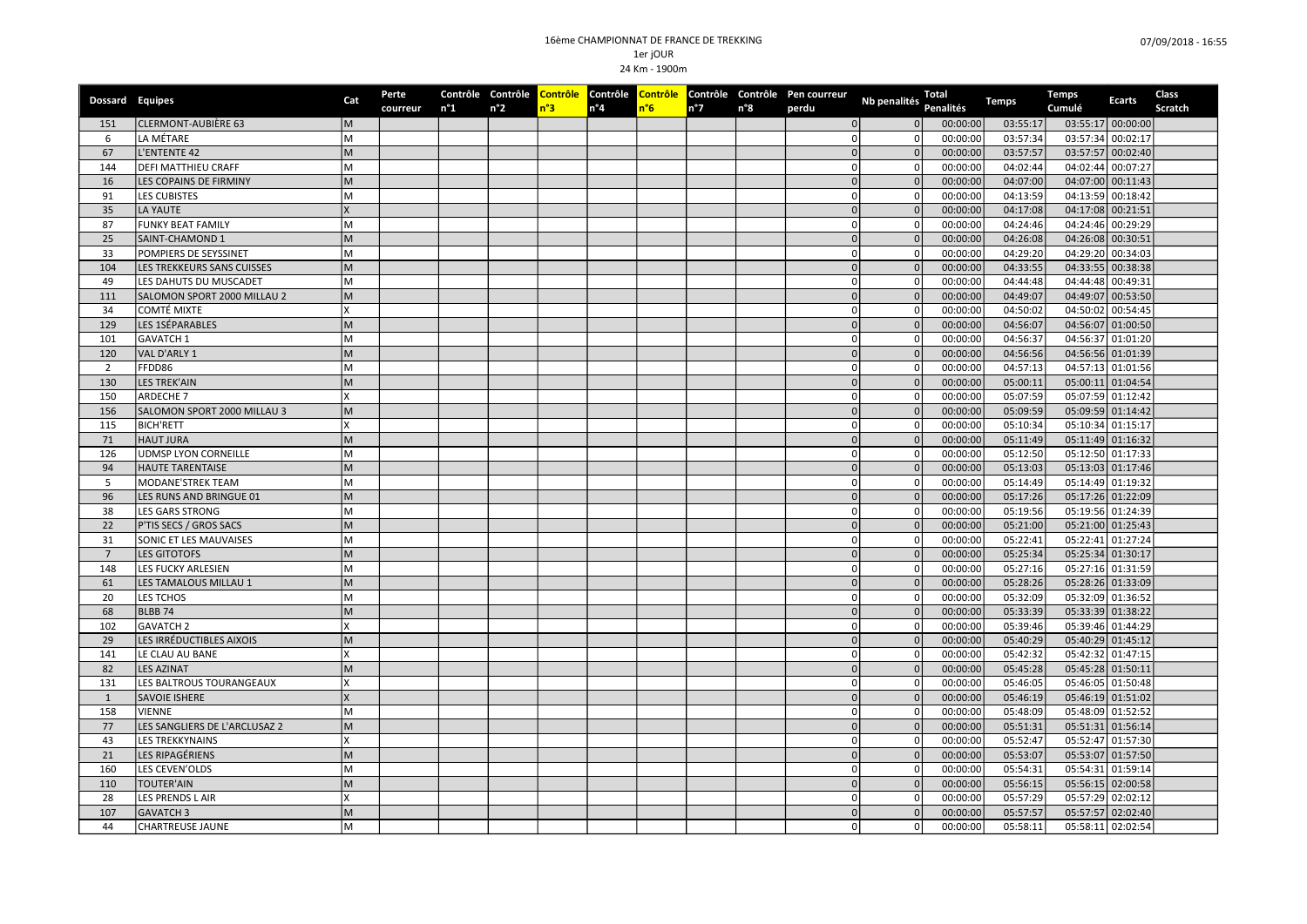| Dossard Equipes |                               | Cat | Perte<br>courreur | $n^{\circ}1$ | $n^{\circ}2$ | n°3 | $n^{\circ}4$ | n°6 | $n^{\circ}7$ | n°8 | Contrôle Contrôle Contrôle Contrôle Contrôle Contrôle Contrôle Pen courreur<br>perdu | Nb penalités                     | Total<br><b>Penalités</b> | <b>Temps</b> | <b>Temps</b><br>Cumulé | <b>Ecarts</b>     | Class<br>Scratch |
|-----------------|-------------------------------|-----|-------------------|--------------|--------------|-----|--------------|-----|--------------|-----|--------------------------------------------------------------------------------------|----------------------------------|---------------------------|--------------|------------------------|-------------------|------------------|
| 151             | <b>CLERMONT-AUBIÈRE 63</b>    | M   |                   |              |              |     |              |     |              |     |                                                                                      | $\overline{0}$<br>$\overline{0}$ | 00:00:00                  | 03:55:17     |                        | 03:55:17 00:00:00 |                  |
| 6               | LA MÉTARE                     | lм  |                   |              |              |     |              |     |              |     |                                                                                      | οI<br>$\circ$                    | 00:00:00                  | 03:57:34     |                        | 03:57:34 00:02:17 |                  |
| 67              | L'ENTENTE 42                  | M   |                   |              |              |     |              |     |              |     |                                                                                      | 0 <br>0                          | 00:00:00                  | 03:57:57     |                        | 03:57:57 00:02:40 |                  |
| 144             | DEFI MATTHIEU CRAFF           | M   |                   |              |              |     |              |     |              |     | 0l                                                                                   | $\overline{0}$                   | 00:00:00                  | 04:02:44     |                        | 04:02:44 00:07:27 |                  |
| 16              | LES COPAINS DE FIRMINY        | M   |                   |              |              |     |              |     |              |     |                                                                                      | $\overline{0}$<br>0              | 00:00:00                  | 04:07:00     |                        | 04:07:00 00:11:43 |                  |
| 91              | LES CUBISTES                  | M   |                   |              |              |     |              |     |              |     | $\Omega$                                                                             | $\circ$                          | 00:00:00                  | 04:13:59     |                        | 04:13:59 00:18:42 |                  |
| 35              | LA YAUTE                      |     |                   |              |              |     |              |     |              |     |                                                                                      | $\Omega$<br>$\overline{0}$       | 00:00:00                  | 04:17:08     |                        | 04:17:08 00:21:51 |                  |
| 87              | <b>FUNKY BEAT FAMILY</b>      | M   |                   |              |              |     |              |     |              |     |                                                                                      | οI<br>$\mathbf 0$                | 00:00:00                  | 04:24:46     |                        | 04:24:46 00:29:29 |                  |
| 25              | SAINT-CHAMOND 1               | M   |                   |              |              |     |              |     |              |     |                                                                                      | 0<br>$\mathbf 0$                 | 00:00:00                  | 04:26:08     |                        | 04:26:08 00:30:51 |                  |
| 33              | POMPIERS DE SEYSSINET         | M   |                   |              |              |     |              |     |              |     | 0                                                                                    | $\circ$                          | 00:00:00                  | 04:29:20     |                        | 04:29:20 00:34:03 |                  |
| 104             | LES TREKKEURS SANS CUISSES    | M   |                   |              |              |     |              |     |              |     |                                                                                      | 0<br>$\overline{0}$              | 00:00:00                  | 04:33:55     |                        | 04:33:55 00:38:38 |                  |
| 49              | LES DAHUTS DU MUSCADET        | M   |                   |              |              |     |              |     |              |     | 0                                                                                    | 0                                | 00:00:00                  | 04:44:48     |                        | 04:44:48 00:49:31 |                  |
| 111             | SALOMON SPORT 2000 MILLAU 2   | M   |                   |              |              |     |              |     |              |     | $\Omega$                                                                             | 0                                | 00:00:00                  | 04:49:07     |                        | 04:49:07 00:53:50 |                  |
| 34              | COMTÉ MIXTE                   | X   |                   |              |              |     |              |     |              |     |                                                                                      | οI<br>$\circ$                    | 00:00:00                  | 04:50:02     |                        | 04:50:02 00:54:45 |                  |
| 129             | LES 1SÉPARABLES               | M   |                   |              |              |     |              |     |              |     |                                                                                      | 0<br> 0                          | 00:00:00                  | 04:56:07     |                        | 04:56:07 01:00:50 |                  |
| 101             | GAVATCH 1                     | M   |                   |              |              |     |              |     |              |     | 0                                                                                    | 0                                | 00:00:00                  | 04:56:37     |                        | 04:56:37 01:01:20 |                  |
| 120             | VAL D'ARLY 1                  | M   |                   |              |              |     |              |     |              |     |                                                                                      | $\overline{0}$<br>$\Omega$       | 00:00:00                  | 04:56:56     |                        | 04:56:56 01:01:39 |                  |
| 2               | FFDD86                        | M   |                   |              |              |     |              |     |              |     | 0l                                                                                   | $\circ$                          | 00:00:00                  | 04:57:13     |                        | 04:57:13 01:01:56 |                  |
| 130             | <b>LES TREK'AIN</b>           | M   |                   |              |              |     |              |     |              |     |                                                                                      | 0<br> 0                          | 00:00:00                  | 05:00:11     |                        | 05:00:11 01:04:54 |                  |
| 150             | ARDECHE 7                     |     |                   |              |              |     |              |     |              |     | $\Omega$                                                                             | $\circ$                          | 00:00:00                  | 05:07:59     |                        | 05:07:59 01:12:42 |                  |
| 156             | SALOMON SPORT 2000 MILLAU 3   | M   |                   |              |              |     |              |     |              |     |                                                                                      | 0<br> 0                          | 00:00:00                  | 05:09:59     |                        | 05:09:59 01:14:42 |                  |
| 115             | <b>BICH'RETT</b>              |     |                   |              |              |     |              |     |              |     |                                                                                      | οl<br>$\circ$                    | 00:00:00                  | 05:10:34     |                        | 05:10:34 01:15:17 |                  |
| 71              | <b>HAUT JURA</b>              | M   |                   |              |              |     |              |     |              |     |                                                                                      | $\overline{0}$<br>0              | 00:00:00                  | 05:11:49     |                        | 05:11:49 01:16:32 |                  |
| 126             | UDMSP LYON CORNEILLE          | M   |                   |              |              |     |              |     |              |     | 0                                                                                    | $\circ$                          | 00:00:00                  | 05:12:50     |                        | 05:12:50 01:17:33 |                  |
| 94              | <b>HAUTE TARENTAISE</b>       | M   |                   |              |              |     |              |     |              |     |                                                                                      | 0 <br>$\overline{0}$             | 00:00:00                  | 05:13:03     |                        | 05:13:03 01:17:46 |                  |
| 5               | MODANE'STREK TEAM             | M   |                   |              |              |     |              |     |              |     | 0                                                                                    | 0                                | 00:00:00                  | 05:14:49     |                        | 05:14:49 01:19:32 |                  |
| 96              | LES RUNS AND BRINGUE 01       | M   |                   |              |              |     |              |     |              |     | $\Omega$                                                                             | 0                                | 00:00:00                  | 05:17:26     |                        | 05:17:26 01:22:09 |                  |
| 38              | <b>LES GARS STRONG</b>        | M   |                   |              |              |     |              |     |              |     |                                                                                      | $\circ$<br>οI                    | 00:00:00                  | 05:19:56     |                        | 05:19:56 01:24:39 |                  |
| 22              | P'TIS SECS / GROS SACS        | M   |                   |              |              |     |              |     |              |     |                                                                                      | 0 <br>$\Omega$                   | 00:00:00                  | 05:21:00     |                        | 05:21:00 01:25:43 |                  |
| 31              | SONIC ET LES MAUVAISES        | M   |                   |              |              |     |              |     |              |     | 0                                                                                    | $\circ$                          | 00:00:00                  | 05:22:41     |                        | 05:22:41 01:27:24 |                  |
| $7\overline{ }$ | <b>LES GITOTOFS</b>           | M   |                   |              |              |     |              |     |              |     |                                                                                      | 0<br> 0                          | 00:00:00                  | 05:25:34     |                        | 05:25:34 01:30:17 |                  |
| 148             | LES FUCKY ARLESIEN            | M   |                   |              |              |     |              |     |              |     |                                                                                      | $\circ$<br>0                     | 00:00:00                  | 05:27:16     |                        | 05:27:16 01:31:59 |                  |
| 61              | LES TAMALOUS MILLAU 1         | M   |                   |              |              |     |              |     |              |     |                                                                                      | 0 <br> 0                         | 00:00:00                  | 05:28:26     |                        | 05:28:26 01:33:09 |                  |
| 20              | <b>LES TCHOS</b>              | м   |                   |              |              |     |              |     |              |     | $\Omega$                                                                             | οl                               | 00:00:00                  | 05:32:09     |                        | 05:32:09 01:36:52 |                  |
| 68              | BLBB <sub>74</sub>            | M   |                   |              |              |     |              |     |              |     | $\Omega$                                                                             | 0                                | 00:00:00                  | 05:33:39     |                        | 05:33:39 01:38:22 |                  |
| 102             | <b>GAVATCH 2</b>              |     |                   |              |              |     |              |     |              |     |                                                                                      | οI<br>$\circ$                    | 00:00:00                  | 05:39:46     |                        | 05:39:46 01:44:29 |                  |
| 29              | LES IRRÉDUCTIBLES AIXOIS      | M   |                   |              |              |     |              |     |              |     |                                                                                      | $\mathbf 0$<br>$\overline{0}$    | 00:00:00                  | 05:40:29     |                        | 05:40:29 01:45:12 |                  |
| 141             | LE CLAU AU BANE               | x   |                   |              |              |     |              |     |              |     | 0                                                                                    | 0                                | 00:00:00                  | 05:42:32     |                        | 05:42:32 01:47:15 |                  |
| 82              | <b>LES AZINAT</b>             | lм  |                   |              |              |     |              |     |              |     |                                                                                      | $\Omega$<br>$\Omega$             | 00:00:00                  | 05:45:28     |                        | 05:45:28 01:50:11 |                  |
| 131             | LES BALTROUS TOURANGEAUX      | X   |                   |              |              |     |              |     |              |     |                                                                                      | οI<br>$\circ$                    | 00:00:00                  | 05:46:05     |                        | 05:46:05 01:50:48 |                  |
| 1               | SAVOIE ISHERE                 |     |                   |              |              |     |              |     |              |     | $\Omega$                                                                             | $\overline{0}$                   | 00:00:00                  | 05:46:19     |                        | 05:46:19 01:51:02 |                  |
| 158             | <b>VIENNE</b>                 | lм  |                   |              |              |     |              |     |              |     |                                                                                      | οI<br>$\circ$                    | 00:00:00                  | 05:48:09     |                        | 05:48:09 01:52:52 |                  |
| 77              | LES SANGLIERS DE L'ARCLUSAZ 2 | M   |                   |              |              |     |              |     |              |     |                                                                                      | $\overline{0}$<br>0              | 00:00:00                  | 05:51:31     |                        | 05:51:31 01:56:14 |                  |
| 43              | <b>LES TREKKYNAINS</b>        | x   |                   |              |              |     |              |     |              |     | 0                                                                                    | 0                                | 00:00:00                  | 05:52:47     |                        | 05:52:47 01:57:30 |                  |
| 21              | LES RIPAGÉRIENS               | M   |                   |              |              |     |              |     |              |     |                                                                                      | $\overline{0}$<br>$\overline{0}$ | 00:00:00                  | 05:53:07     |                        | 05:53:07 01:57:50 |                  |
| 160             | LES CEVEN'OLDS                | lм  |                   |              |              |     |              |     |              |     | 0                                                                                    | $\circ$                          | 00:00:00                  | 05:54:31     |                        | 05:54:31 01:59:14 |                  |
| 110             | <b>TOUTER'AIN</b>             | M   |                   |              |              |     |              |     |              |     |                                                                                      | 0 <br>0                          | 00:00:00                  | 05:56:15     |                        | 05:56:15 02:00:58 |                  |
| 28              | LES PRENDS L AIR              |     |                   |              |              |     |              |     |              |     | $\Omega$                                                                             | $\mathbf 0$                      | 00:00:00                  | 05:57:29     |                        | 05:57:29 02:02:12 |                  |
| 107             | <b>GAVATCH 3</b>              | M   |                   |              |              |     |              |     |              |     |                                                                                      | $\overline{0}$<br> 0             | 00:00:00                  | 05:57:57     |                        | 05:57:57 02:02:40 |                  |
| 44              | <b>CHARTREUSE JAUNE</b>       | M   |                   |              |              |     |              |     |              |     |                                                                                      | $\circ$<br>οI                    | 00:00:00                  | 05:58:11     |                        | 05:58:11 02:02:54 |                  |
|                 |                               |     |                   |              |              |     |              |     |              |     |                                                                                      |                                  |                           |              |                        |                   |                  |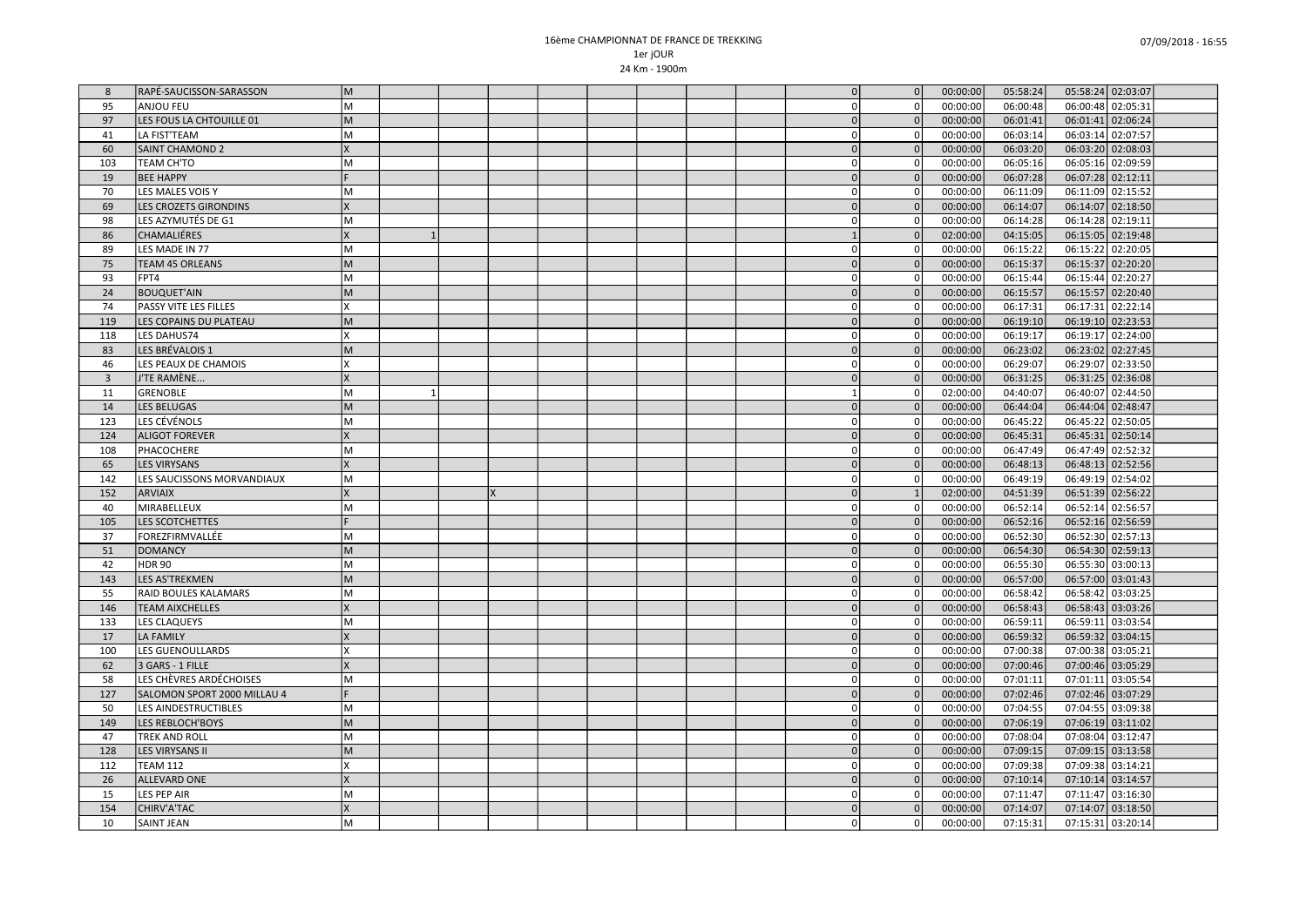| 8              | RAPÉ-SAUCISSON-SARASSON     | lм  |  |  |  |  | $\Omega$       | $\overline{0}$ | 00:00:00 | 05:58:24 | 05:58:24 02:03:07    |  |
|----------------|-----------------------------|-----|--|--|--|--|----------------|----------------|----------|----------|----------------------|--|
| 95             | <b>ANJOU FEU</b>            | lм  |  |  |  |  | $\overline{0}$ | $\overline{0}$ | 00:00:00 | 06:00:48 | 06:00:48 02:05:31    |  |
| 97             | LES FOUS LA CHTOUILLE 01    | lм  |  |  |  |  | $\Omega$       | $\Omega$       | 00:00:00 | 06:01:41 | 06:01:41 02:06:24    |  |
| 41             | LA FIST'TEAM                | lм  |  |  |  |  | 0 l            | οI             | 00:00:00 | 06:03:14 | 06:03:14 02:07:57    |  |
| 60             | SAINT CHAMOND 2             | lχ  |  |  |  |  | 0              | 0              | 00:00:00 | 06:03:20 | 06:03:20 02:08:03    |  |
| 103            | TEAM CH'TO                  | M   |  |  |  |  | 0l             | $\overline{0}$ | 00:00:00 | 06:05:16 | 06:05:16 02:09:59    |  |
| 19             | <b>BEE HAPPY</b>            |     |  |  |  |  | $\Omega$       | $\overline{0}$ | 00:00:00 | 06:07:28 | 06:07:28 02:12:11    |  |
| 70             | LES MALES VOIS Y            | lм  |  |  |  |  | $\Omega$       | οI             | 00:00:00 | 06:11:09 | 06:11:09 02:15:52    |  |
| 69             | LES CROZETS GIRONDINS       | Ιx  |  |  |  |  | $\Omega$       | $\Omega$       | 00:00:00 | 06:14:07 | 06:14:07 02:18:50    |  |
| 98             | LES AZYMUTÉS DE G1          | lм  |  |  |  |  | $\Omega$       | 0              | 00:00:00 | 06:14:28 | 06:14:28 02:19:11    |  |
| 86             | CHAMALIÉRES                 | lx  |  |  |  |  |                | $\Omega$       | 02:00:00 | 04:15:05 | 06:15:05 02:19:48    |  |
| 89             | LES MADE IN 77              | lм  |  |  |  |  | 0 I            | 0              | 00:00:00 | 06:15:22 | 06:15:22<br>02:20:05 |  |
| 75             | <b>TEAM 45 ORLEANS</b>      | lм  |  |  |  |  | $\Omega$       | 0              | 00:00:00 | 06:15:37 | 06:15:37 02:20:20    |  |
| 93             | FPT4                        | M   |  |  |  |  | $\Omega$       | οI             | 00:00:00 | 06:15:44 | 06:15:44 02:20:27    |  |
| 24             | <b>BOUQUET'AIN</b>          | lм  |  |  |  |  | $\overline{0}$ | $\overline{0}$ | 00:00:00 | 06:15:57 | 06:15:57 02:20:40    |  |
| 74             | PASSY VITE LES FILLES       | Ιx  |  |  |  |  | $\overline{0}$ | οI             | 00:00:00 | 06:17:31 | 06:17:31 02:22:14    |  |
| 119            | LES COPAINS DU PLATEAU      | lм  |  |  |  |  | $\Omega$       | $\Omega$       | 00:00:00 | 06:19:10 | 06:19:10 02:23:53    |  |
| 118            | LES DAHUS74                 | lχ  |  |  |  |  | 0 l            | οI             | 00:00:00 | 06:19:17 | 06:19:17 02:24:00    |  |
| 83             | LES BRÉVALOIS 1             | lм  |  |  |  |  | 0l             | $\overline{0}$ | 00:00:00 | 06:23:02 | 06:23:02 02:27:45    |  |
| 46             | LES PEAUX DE CHAMOIS        | lχ  |  |  |  |  | 0 I            | 0              | 00:00:00 | 06:29:07 | 06:29:07 02:33:50    |  |
| $\overline{3}$ | J'TE RAMÈNE                 | Ιx  |  |  |  |  | 0              | $\overline{0}$ | 00:00:00 | 06:31:25 | 06:31:25 02:36:08    |  |
| 11             | <b>GRENOBLE</b>             | M   |  |  |  |  |                | οI             | 02:00:00 | 04:40:07 | 06:40:07 02:44:50    |  |
| 14             | <b>LES BELUGAS</b>          | lм  |  |  |  |  | $\Omega$       | 0              | 00:00:00 | 06:44:04 | 06:44:04 02:48:47    |  |
| 123            | LES CÉVÉNOLS                | lм  |  |  |  |  | $\overline{0}$ | 0              | 00:00:00 | 06:45:22 | 06:45:22 02:50:05    |  |
| 124            | <b>ALIGOT FOREVER</b>       | lχ  |  |  |  |  | $\Omega$       | $\overline{0}$ | 00:00:00 | 06:45:31 | 06:45:31 02:50:14    |  |
| 108            | PHACOCHERE                  | lм  |  |  |  |  | 0              | οI             | 00:00:00 | 06:47:49 | 06:47:49 02:52:32    |  |
| 65             | <b>LES VIRYSANS</b>         | lχ  |  |  |  |  | 0              | $\overline{0}$ | 00:00:00 | 06:48:13 | 06:48:13 02:52:56    |  |
| 142            | LES SAUCISSONS MORVANDIAUX  | lм  |  |  |  |  | 0              | 0              | 00:00:00 | 06:49:19 | 06:49:19 02:54:02    |  |
| 152            | <b>ARVIAIX</b>              | Ιx  |  |  |  |  | 0              | $\mathbf{1}$   | 02:00:00 | 04:51:39 | 06:51:39 02:56:22    |  |
| 40             | MIRABELLEUX                 | lм  |  |  |  |  | $\Omega$       | οI             | 00:00:00 | 06:52:14 | 06:52:14 02:56:57    |  |
| 105            | LES SCOTCHETTES             |     |  |  |  |  | $\Omega$       | $\overline{0}$ | 00:00:00 | 06:52:16 | 06:52:16 02:56:59    |  |
| 37             | FOREZFIRMVALLÉE             | lм  |  |  |  |  | 0 l            | $\overline{0}$ | 00:00:00 | 06:52:30 | 06:52:30 02:57:13    |  |
| 51             | <b>DOMANCY</b>              | M   |  |  |  |  | $\Omega$       | 0              | 00:00:00 | 06:54:30 | 06:54:30 02:59:13    |  |
| 42             | <b>HDR 90</b>               | lм  |  |  |  |  | 0 l            | οI             | 00:00:00 | 06:55:30 | 06:55:30 03:00:13    |  |
| 143            | <b>LES AS'TREKMEN</b>       | lм  |  |  |  |  | 0              | 0              | 00:00:00 | 06:57:00 | 06:57:00 03:01:43    |  |
| 55             | RAID BOULES KALAMARS        | lм  |  |  |  |  | 0              | $\overline{0}$ | 00:00:00 | 06:58:42 | 06:58:42 03:03:25    |  |
| 146            | <b>TEAM AIXCHELLES</b>      | lχ  |  |  |  |  | $\Omega$       | $\overline{0}$ | 00:00:00 | 06:58:43 | 06:58:43 03:03:26    |  |
| 133            | <b>LES CLAQUEYS</b>         | lм  |  |  |  |  | $\overline{0}$ | οI             | 00:00:00 | 06:59:11 | 06:59:11 03:03:54    |  |
| 17             | <b>LA FAMILY</b>            | lχ  |  |  |  |  | 0              | $\overline{0}$ | 00:00:00 | 06:59:32 | 06:59:32 03:04:15    |  |
| 100            | LES GUENOULLARDS            | lχ  |  |  |  |  | 0 l            | 0              | 00:00:00 | 07:00:38 | 07:00:38 03:05:21    |  |
| 62             | 3 GARS - 1 FILLE            | lχ  |  |  |  |  | $\Omega$       | $\Omega$       | 00:00:00 | 07:00:46 | 07:00:46 03:05:29    |  |
| 58             | LES CHÈVRES ARDÉCHOISES     | lм  |  |  |  |  | 0 l            | οI             | 00:00:00 | 07:01:11 | 07:01:11 03:05:54    |  |
| 127            | SALOMON SPORT 2000 MILLAU 4 | IF. |  |  |  |  | 0              | 0              | 00:00:00 | 07:02:46 | 07:02:46 03:07:29    |  |
| 50             | <b>LES AINDESTRUCTIBLES</b> | M   |  |  |  |  | $\Omega$       | οI             | 00:00:00 | 07:04:55 | 07:04:55 03:09:38    |  |
| 149            | <b>LES REBLOCH'BOYS</b>     | lм  |  |  |  |  | $\Omega$       | $\overline{0}$ | 00:00:00 | 07:06:19 | 07:06:19 03:11:02    |  |
| 47             | <b>TREK AND ROLL</b>        | M   |  |  |  |  | $\Omega$       | $\overline{0}$ | 00:00:00 | 07:08:04 | 07:08:04 03:12:47    |  |
| 128            | <b>LES VIRYSANS II</b>      | lм  |  |  |  |  | $\Omega$       | $\Omega$       | 00:00:00 | 07:09:15 | 07:09:15 03:13:58    |  |
| 112            | <b>TEAM 112</b>             | lx  |  |  |  |  | 0 l            | 0              | 00:00:00 | 07:09:38 | 07:09:38 03:14:21    |  |
| 26             | <b>ALLEVARD ONE</b>         | lχ  |  |  |  |  | 0l             | $\overline{0}$ | 00:00:00 | 07:10:14 | 07:10:14 03:14:57    |  |
| 15             | <b>LES PEP AIR</b>          | lм  |  |  |  |  | 0 I            | οI             | 00:00:00 | 07:11:47 | 07:11:47 03:16:30    |  |
| 154            | CHIRV'A'TAC                 | Ιx  |  |  |  |  | $\Omega$       | $\overline{0}$ | 00:00:00 | 07:14:07 | 07:14:07 03:18:50    |  |
| 10             | <b>SAINT JEAN</b>           | M   |  |  |  |  | $\overline{0}$ | $\overline{0}$ | 00:00:00 | 07:15:31 | 07:15:31 03:20:14    |  |
|                |                             |     |  |  |  |  |                |                |          |          |                      |  |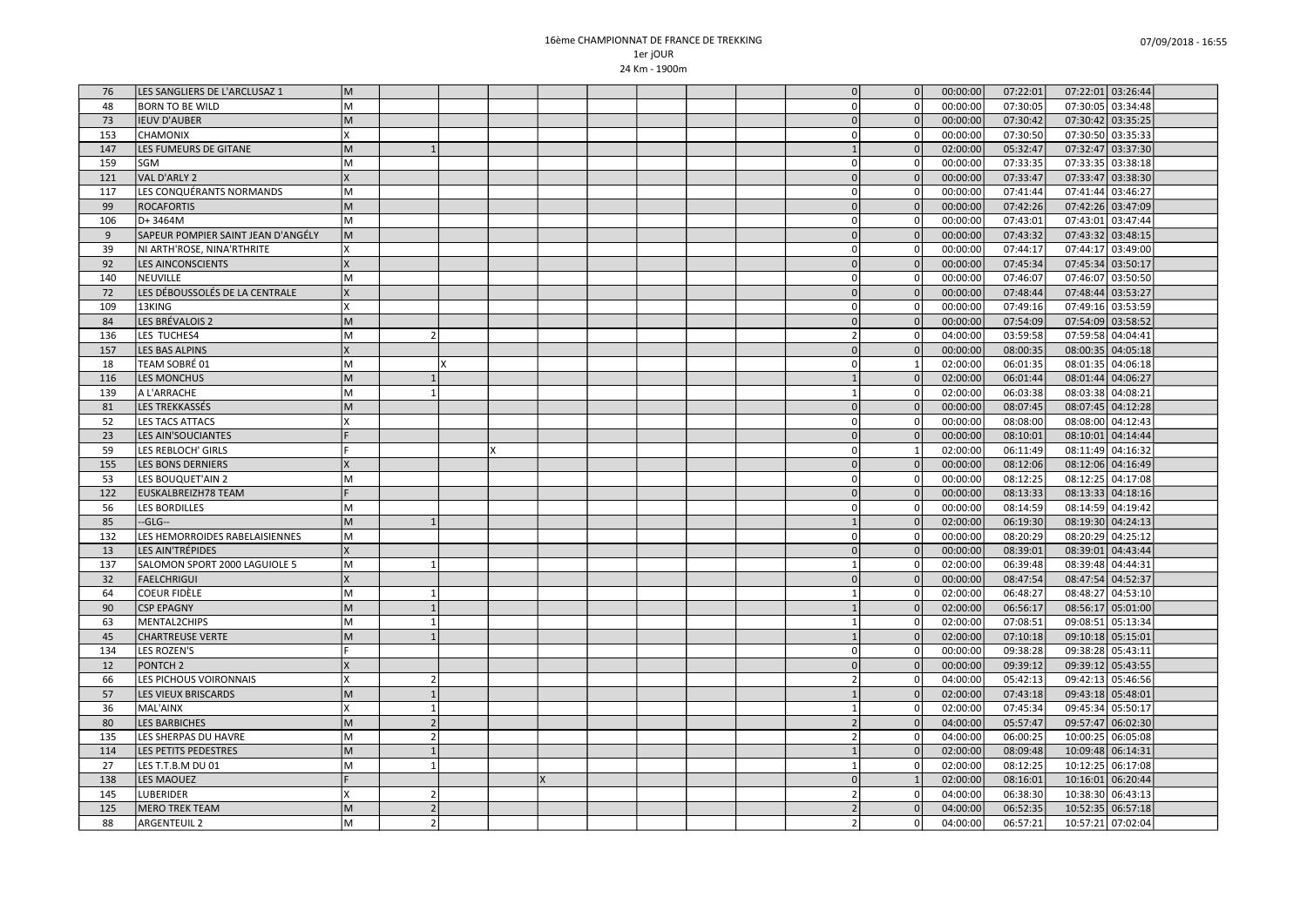| 76        | LES SANGLIERS DE L'ARCLUSAZ 1      | M       |                                          |  |  |  | $\Omega$       | $\overline{0}$       | 00:00:00 | 07:22:01 | 07:22:01 03:26:44 |  |
|-----------|------------------------------------|---------|------------------------------------------|--|--|--|----------------|----------------------|----------|----------|-------------------|--|
| 48        | <b>BORN TO BE WILD</b>             | lм      |                                          |  |  |  | $\overline{0}$ | $\overline{0}$       | 00:00:00 | 07:30:05 | 07:30:05 03:34:48 |  |
| 73        | <b>IEUV D'AUBER</b>                | lм      |                                          |  |  |  | $\Omega$       | 0                    | 00:00:00 | 07:30:42 | 07:30:42 03:35:25 |  |
| 153       | <b>CHAMONIX</b>                    | ΙX      |                                          |  |  |  | 0 l            | $\overline{0}$       | 00:00:00 | 07:30:50 | 07:30:50 03:35:33 |  |
| 147       | LES FUMEURS DE GITANE              | M       |                                          |  |  |  |                | 0                    | 02:00:00 | 05:32:47 | 07:32:47 03:37:30 |  |
| 159       | <b>SGM</b>                         | lм      |                                          |  |  |  | $\Omega$       | οI                   | 00:00:00 | 07:33:35 | 07:33:35 03:38:18 |  |
| 121       | VAL D'ARLY 2                       | lχ      |                                          |  |  |  |                | $\overline{0}$       | 00:00:00 | 07:33:47 | 07:33:47 03:38:30 |  |
| 117       | LES CONQUÉRANTS NORMANDS           | lм      |                                          |  |  |  | $\overline{0}$ | $\circ$              | 00:00:00 | 07:41:44 | 07:41:44 03:46:27 |  |
| 99        | <b>ROCAFORTIS</b>                  | lм      |                                          |  |  |  | $\Omega$       | $\overline{0}$       | 00:00:00 | 07:42:26 | 07:42:26 03:47:09 |  |
| 106       | D+3464M                            | lм      |                                          |  |  |  | 0 l            | 0                    | 00:00:00 | 07:43:01 | 07:43:01 03:47:44 |  |
| 9         | SAPEUR POMPIER SAINT JEAN D'ANGÉLY | M       |                                          |  |  |  | 0l             | $\overline{0}$       | 00:00:00 | 07:43:32 | 07:43:32 03:48:15 |  |
| 39        | NI ARTH'ROSE, NINA'RTHRITE         | lχ      |                                          |  |  |  | 0 l            | 0                    | 00:00:00 | 07:44:17 | 07:44:17 03:49:00 |  |
| 92        | <b>LES AINCONSCIENTS</b>           | lχ      |                                          |  |  |  | 0              | $\overline{0}$       | 00:00:00 | 07:45:34 | 07:45:34 03:50:17 |  |
| 140       | NEUVILLE                           | M       |                                          |  |  |  | $\overline{0}$ | οI                   | 00:00:00 | 07:46:07 | 07:46:07 03:50:50 |  |
| 72        | LES DÉBOUSSOLÉS DE LA CENTRALE     | Ιx      |                                          |  |  |  | $\overline{0}$ | 0                    | 00:00:00 | 07:48:44 | 07:48:44 03:53:27 |  |
| 109       | 13KING                             | lχ      |                                          |  |  |  | 0 l            | οI                   | 00:00:00 | 07:49:16 | 07:49:16 03:53:59 |  |
| 84        | LES BRÉVALOIS 2                    | lм      |                                          |  |  |  | $\overline{0}$ | 0                    | 00:00:00 | 07:54:09 | 07:54:09 03:58:52 |  |
| 136       | LES TUCHES4                        | lм      | $\mathcal{P}$                            |  |  |  | 21             | οI                   | 04:00:00 | 03:59:58 | 07:59:58 04:04:41 |  |
| 157       | <b>LES BAS ALPINS</b>              | lχ      |                                          |  |  |  | 0              | 0                    | 00:00:00 | 08:00:35 | 08:00:35 04:05:18 |  |
| 18        | TEAM SOBRÉ 01                      | M       |                                          |  |  |  | 0              | 1                    | 02:00:00 | 06:01:35 | 08:01:35 04:06:18 |  |
| 116       | <b>LES MONCHUS</b>                 | M       |                                          |  |  |  | $\mathbf{1}$   | $\overline{0}$       | 02:00:00 | 06:01:44 | 08:01:44 04:06:27 |  |
| 139       | A L'ARRACHE                        | M       |                                          |  |  |  |                | οI                   | 02:00:00 | 06:03:38 | 08:03:38 04:08:21 |  |
| 81        | LES TREKKASSÉS                     | M       |                                          |  |  |  |                | 0                    | 00:00:00 | 08:07:45 | 08:07:45 04:12:28 |  |
| 52        | <b>LES TACS ATTACS</b>             | lχ      |                                          |  |  |  | $\overline{0}$ | 0                    | 00:00:00 | 08:08:00 | 08:08:00 04:12:43 |  |
| 23        | <b>LES AIN'SOUCIANTES</b>          |         |                                          |  |  |  | 0              | $\overline{0}$       | 00:00:00 | 08:10:01 | 08:10:01 04:14:44 |  |
| 59        | LES REBLOCH' GIRLS                 | ١F      |                                          |  |  |  | 0              | 1                    | 02:00:00 | 06:11:49 | 08:11:49 04:16:32 |  |
| 155       | <b>LES BONS DERNIERS</b>           | lχ      |                                          |  |  |  | 0              | $\overline{0}$       | 00:00:00 | 08:12:06 | 08:12:06 04:16:49 |  |
| 53        | LES BOUQUET'AIN 2                  | lм      |                                          |  |  |  | 0              | 0                    | 00:00:00 | 08:12:25 | 08:12:25 04:17:08 |  |
| 122       | EUSKALBREIZH78 TEAM                |         |                                          |  |  |  | 0              | 0                    | 00:00:00 | 08:13:33 | 08:13:33 04:18:16 |  |
| 56        | <b>LES BORDILLES</b>               | lм      |                                          |  |  |  | $\Omega$       | οI                   | 00:00:00 | 08:14:59 | 08:14:59 04:19:42 |  |
| 85        | --GLG--                            | lм      |                                          |  |  |  |                | $\overline{0}$       | 02:00:00 | 06:19:30 | 08:19:30 04:24:13 |  |
| 132       | LES HEMORROIDES RABELAISIENNES     | M       |                                          |  |  |  | $\overline{0}$ | $\overline{0}$       | 00:00:00 | 08:20:29 | 08:20:29 04:25:12 |  |
| 13        | LES AIN'TRÉPIDES                   | lχ      |                                          |  |  |  | $\Omega$       | $\overline{0}$       | 00:00:00 | 08:39:01 | 08:39:01 04:43:44 |  |
| 137       | SALOMON SPORT 2000 LAGUIOLE 5      | lм      | $\overline{1}$                           |  |  |  | 1              | οI                   | 02:00:00 | 06:39:48 | 08:39:48 04:44:31 |  |
| 32        | <b>FAELCHRIGUI</b>                 | Ιx      |                                          |  |  |  | 0              | 0                    | 00:00:00 | 08:47:54 | 08:47:54 04:52:37 |  |
| 64        | COEUR FIDÈLE                       | lм      | -1                                       |  |  |  | 1              | 0                    | 02:00:00 | 06:48:27 | 08:48:27 04:53:10 |  |
| 90        | <b>CSP EPAGNY</b>                  | M       |                                          |  |  |  |                | $\overline{0}$       | 02:00:00 | 06:56:17 | 08:56:17 05:01:00 |  |
| 63        | MENTAL2CHIPS                       | lм      |                                          |  |  |  |                | $\overline{0}$       | 02:00:00 | 07:08:51 | 09:08:51 05:13:34 |  |
| 45        | <b>CHARTREUSE VERTE</b>            | lм      |                                          |  |  |  |                | $\overline{0}$       | 02:00:00 | 07:10:18 | 09:10:18 05:15:01 |  |
| 134       | <b>LES ROZEN'S</b>                 | ١F      |                                          |  |  |  | $\overline{0}$ | 0                    | 00:00:00 | 09:38:28 | 09:38:28 05:43:11 |  |
| 12        | PONTCH <sub>2</sub>                | Ιx      |                                          |  |  |  | $\Omega$       | $\mathbf{0}$         | 00:00:00 | 09:39:12 | 09:39:12 05:43:55 |  |
| 66        | LES PICHOUS VOIRONNAIS             | lχ      | $\overline{2}$                           |  |  |  | $\overline{2}$ | 0                    | 04:00:00 | 05:42:13 | 09:42:13 05:46:56 |  |
| 57        |                                    | lм      |                                          |  |  |  |                | $\overline{0}$       | 02:00:00 | 07:43:18 |                   |  |
|           | <b>LES VIEUX BRISCARDS</b>         |         |                                          |  |  |  |                |                      |          |          | 09:43:18 05:48:01 |  |
| 36        | MAL'AINX                           | lχ      | $\mathbf{1}$<br>$\overline{\phantom{0}}$ |  |  |  | 1              | 0 <br>$\overline{0}$ | 02:00:00 | 07:45:34 | 09:45:34 05:50:17 |  |
| 80        | <b>LES BARBICHES</b>               | M<br>lм | $\overline{2}$                           |  |  |  |                | οI                   | 04:00:00 | 05:57:47 | 09:57:47 06:02:30 |  |
| 135       | LES SHERPAS DU HAVRE               |         |                                          |  |  |  |                | $\overline{0}$       | 04:00:00 | 06:00:25 | 10:00:25 06:05:08 |  |
| 114<br>27 | LES PETITS PEDESTRES               | lм      | $\overline{1}$                           |  |  |  | $\mathbf{1}$   |                      | 02:00:00 | 08:09:48 | 10:09:48 06:14:31 |  |
|           | LES T.T.B.M DU 01                  | lм      |                                          |  |  |  |                | οI<br>$\mathbf{1}$   | 02:00:00 | 08:12:25 | 10:12:25 06:17:08 |  |
| 138       | <b>LES MAOUEZ</b>                  |         |                                          |  |  |  | $\Omega$       |                      | 02:00:00 | 08:16:01 | 10:16:01 06:20:44 |  |
| 145       | LUBERIDER                          | ΙX      | 2                                        |  |  |  |                | Οl                   | 04:00:00 | 06:38:30 | 10:38:30 06:43:13 |  |
| 125       | <b>MERO TREK TEAM</b>              | lм      | $\overline{2}$                           |  |  |  |                | $\overline{0}$       | 04:00:00 | 06:52:35 | 10:52:35 06:57:18 |  |
| 88        | ARGENTEUIL 2                       | M       | $\overline{2}$                           |  |  |  | $\overline{2}$ | $\overline{0}$       | 04:00:00 | 06:57:21 | 10:57:21 07:02:04 |  |